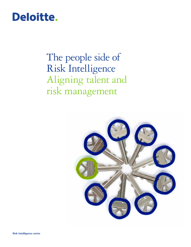# Deloitte.

The people side of Risk Intelligence Aligning talent and risk management

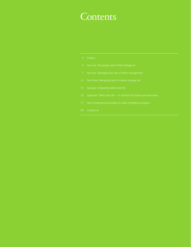# **Contents**

| Preface |
|---------|
|         |
|         |

- 
- 
- 
- 
- 
- 
-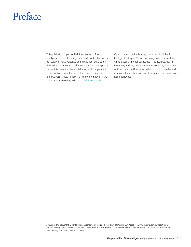# Preface

This publication is part of Deloitte's series on Risk Intelligence — a risk management philosophy that focuses not solely on risk avoidance and mitigation, but also on risk-taking as a means to value creation. The concepts and viewpoints presented here build upon and complement other publications in the series that span roles, industries, and business issues. To access all the white papers in the Risk Intelligence series, visit: www.deloitte.com/risk.

Open communication is a key characteristic of the Risk Intelligent Enterprise™. We encourage you to share this white paper with your colleagues — executives, board members, and key managers at your company. The issues outlined herein will serve as useful points to consider and discuss in the continuing effort to increase your company's Risk Intelligence.

As used in this document, Deloitte means Deloitte & Touche LLP, a subsidiary of Deloitte LLP. Please see www.deloitte.com/us/about for a detailed description of the legal structure of Deloitte LLP and its subsidiaries. Certain services may not be available to attest clients under the rules and regulations of public accounting.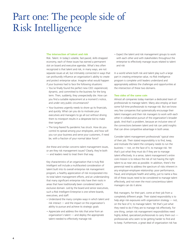# Part one: The people side of Risk Intelligence

#### **The intersection of talent and risk**

Risk. Talent. In today's volatile, fast-paced, skills-strapped economy, each of these issues has earned a permanent slot on board and executive agendas. What's less often recognized is that talent and risk, in many ways, are not separate issues at all, but intimately connected in ways that can profoundly influence an organization's ability to create and protect enterprise value. Imagine what would happen if your business had to face the following situations:

- You've finally found the perfect new CEO: experienced, dynamic, and committed to the business for the long term. Then, suddenly, they unexpectedly die. How can you find a suitable replacement at a moment's notice, and under very public circumstances?
- Your business urgently needs to shore up its financials, and quickly. What can you do to motivate your executives and managers to go all out without driving them to misreport results in a desperate bid to make their targets?
- The long-feared flu pandemic has struck. How do you control its spread among your employees, and how will you run your business and serve your customers, if need be, with a fraction of your normal labor force?

Are these and similar concerns talent management issues, or are they risk management issues? Clearly, they're both — and leaders need to treat them that way.

Key characteristics of an organization that is truly Risk Intelligent will include a multifaceted consideration of talent built into its overall enterprise risk management program, a healthy appreciation of risk incorporated into its total talent management efforts, and an understanding that many significant enterprise risks have their roots in areas that have traditionally been considered talent's exclusive domain. Led by the board and senior executives, such a Risk Intelligent Enterprise is one where boards, executives, and staff:

- Understand the many complex ways in which talent and risk interact — and the impact on the organization's ability to pursue and achieve its strategic goals
- Appreciate and address the risks that arise from an organization's talent — and deploy the appropriate talent needed to effectively manage risk

• Expect the talent and risk management groups to work with each other and with stakeholders throughout the enterprise to effectively manage issues related to talent and risk

In a world where both risk and talent play such a large part in creating enterprise value, no Risk Intelligence program is complete until leaders understand and appropriately address the challenges and opportunities at the intersection of these two domains.

#### **Two sides of the same coin**

Almost all companies today maintain a dedicated team of professionals to manage talent. Many also employ at least some full-time professionals to manage risk. But we know very few companies that systematically encourage their talent managers and their risk managers to work with each other in collaborative pursuit of the organization's broader goals. And that's a problem, because an inclusive view of the connections between talent and risk can yield insights that can drive competitive advantage in both areas.

Consider talent management professionals' typical view of their job. Their stated responsibility is to find, keep, and motivate the talent the company needs to run the business — not, on the face of it, to manage risk. Yet that's just what they must do if they are to manage talent effectively. In a sense, talent management's entire core mission is to reduce the risk of not having the right talent to as near zero as possible. In addition, there's the perennial need to address the spectrum of risks inherent in any employer-employee relationship: poor performance, fraud, and employee health and safety, just to name a few. All of these issues need to be considered to manage talent effectively, and not even the most conscientious talent managers can do it alone.

Risk managers, for their part, come at their job from a completely different angle. Their stated responsibility is to help align risk exposures with organization strategy — not, on the face of it, to manage talent. Yet that's just what they need to do if they are to manage risk effectively. For one thing, certain risk management responsibilities need highly skilled, specialized professionals to carry them out professionals who seem to be getting harder to find and to keep. Furthermore, a great deal of organization risk has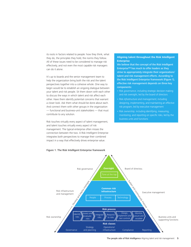its roots in factors related to people: how they think, what they do, the principles they hold, the norms they follow. All of these issues need to be considered to manage risk effectively, and not even the most capable risk managers can do it alone.

It's up to boards and the senior management team to help the organization bring both the risk and the talent perspectives together into a cohesive whole. One way to begin would be to establish an ongoing dialogue between your talent and risk people. Sit them down with each other to discuss the ways in which talent and risk affect each other. Have them identify potential concerns that warrant a closer look. Ask them what should be done about each. And connect them with other groups in the organization — functional and business-unit stakeholders — that must contribute to any solution.

Risk touches virtually every aspect of talent management, and talent touches virtually every aspect of risk management. The typical enterprise often misses the connection between the two. A Risk Intelligent Enterprise integrates both perspectives to manage their combined impact in a way that effectively drives enterprise value.

## **Aligning talent throughout the Risk Intelligent Enterprise**

We believe that the concept of the Risk Intelligent Enterprise™ has much to offer leaders as they strive to appropriately integrate their organizations' talent and risk management efforts. According to the Risk Intelligent Enterprise framework (Figure 1), effective risk management depends on three key components:

- Risk *governance*, including strategic decision making and risk oversight, led by the board of directors
- Risk *infrastructure and management,* including designing, implementing, and maintaining an effective risk program, led by executive management
- Risk *ownership,* including identifying, measuring, monitoring, and reporting on specific risks, led by the business units and functions



### Figure 1. The Risk Intelligent Enterprise framework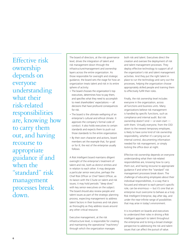Effective risk ownership depends on everyone understanding what their risk-related responsibilities are, knowing how to carry them out, and having recourse to appropriate guidance if and when the "standard" risk management processes break down.

The board of directors, at the risk governance level, drives the integration of talent and risk management down through the infrastructure/management and ownership layers across the entire organization. As those responsible for oversight and strategic guidance, the board sets the stage for how an organization treats talent and risk in its entire sphere of activity:

- The board chooses the organization's top executives, determines how to pay them, and specifies what they need to accomplish to meet shareholders' expectations — all decisions that have profound consequences for risk.
- The board is the ultimate wellspring of an enterprise's cultural and ethical climate. It approves the company's formal code of conduct. It also holds executives to certain standards and expects them to push out those standards to the entire organization.
- By their own character and actions, board members set the example that, for good or for ill, the rest of the enterprise usually follows.

A Risk Intelligent board maintains diligent oversight of the enterprise's treatment of talent and risk, both as distinct entities and in relation to each other. It may designate a particular senior executive, perhaps the Chief Risk Officer or Chief Talent Officer, as its liaison with the C-Suite on talent and risk issues; it may hold periodic "deep dives" with key senior executives on the subject. The board should also review people and talent issues as part of the strategic planning process, expecting management to address talent factors in their business and risk plans as thoroughly as they address issues around any other critical resource.

Executive management, at the risk infrastructure level, is responsible for creating and maintaining the operational "machinery" through which the organization manages

both risk and talent. Executives direct the creation and oversee the deployment of risk and talent management processes. They deploy effective technology to support all of the organization's risk and talent management activities. And they put the right talent in place to run the technology and carry out the processes, helping the organization choose appropriately skilled people and training them to effectively fulfill their roles.

Finally, the risk ownership level includes everyone in the organization, across all functions and business units. Many organizations believe risk management is handled by specific functions, such as compliance and internal audit. But risk ownership doesn't end — or even start with them. Virtually everyone, from the CEO down to the newest temporary employee, is likely to have *some* kind of risk ownership responsibility, whether it's carrying out an internal control, documenting information needed for risk management, or simply locking the office door at night.

Effective risk ownership depends on everyone understanding what their risk-related responsibilities are, knowing how to carry them out, and having recourse to appropriate guidance if and when the "standard" risk management processes break down. The challenge of educating employees about their individual responsibilities, in a way that is focused and relevant to each person's specific role, can be enormous — but it's one that an enterprise must overcome to behave as a truly Risk Intelligent Enterprise, day after day, and under the near-infinite range of possibilities that may arise in today's environment.

It is incumbent on boards and executives to understand their roles in driving a Risk Intelligent approach to talent throughout the enterprise and to bring a broad strategic perspective to addressing the risk and talent issues that can affect the pursuit of value.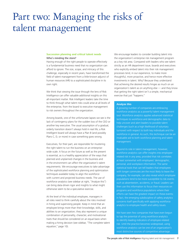# Part two: Managing the risks of talent management

## **Succession planning and critical talent needs** Who's minding the store?

Having enough of the right people to operate effectively is a fundamental business need that no organization can afford to ignore. The size, scope, and intricacy of this challenge, especially in recent years, have transformed the field of talent management from a little-known adjunct of human resources (HR) to a sophisticated discipline in its own right.

We think that viewing the issue through the lens of Risk Intelligence can offer valuable additional insights on this all-important matter. Risk Intelligent leaders take the time to think through what talent risks could arise at all levels of the enterprise, from the board to executive management to risk owners throughout the organization.

Among boards, one of the unfortunate lapses we see is the lack of contingency plans for the sudden loss of the CEO or another key executive. The usual assumption of a gradual, orderly transition doesn't always hold in real life; a Risk Intelligent board will always have a Plan B (and possibly Plans C, D, or more) in case something goes wrong.

Executives, for their part, are responsible for mustering the right talent to run the business on an enterprisewide scale. A focus on the future as well as the present is essential, as is a healthy appreciation of the ways that planned and unplanned changes in the business and in the environment can affect the organization's talent requirements. We encourage executives to take advantage of the sophisticated workforce planning and optimization techniques available today to align the workforce with current and projected business needs. The use of workforce analytics (see sidebar at right, "Analyze this") can bring data-driven rigor and insights to what might otherwise seem to be a speculative exercise.

At the level of the individual employee, managers in all roles need to think carefully about the risks involved in hiring and supervising people. Keep in mind that an employee brings more than their knowledge, skills, and abilities to an organization; they also represent a unique combination of personality, character, and motivational traits that should be considered on an equal basis when making a hiring decision (see sidebar, "The complete talent equation," page 10).

We encourage leaders to consider building talent into the organization's enterprise risk management program as a key risk area. Compared with leaders who see talent strictly as an HR department issue, boards and executives who explicitly embed talent into their risk management processes tend, in our experience, to make more thoughtful, more proactive, and hence more effective investments in talent. Why? Because they understand that achieving the desired results hinges as much on an organization's talent as on anything else — and they know that getting the right talent isn't a simple, mechanical exercise that just "happens."

### **Analyze this**

A growing number of companies are embracing workforce analytics as a powerful talent management tool. Workforce analytics applies advanced statistical techniques to workforce and demographic data to help uncover and alert leaders to possible talent challenges (such as a high likelihood of voluntary turnover) with respect to both key individuals and the workforce in general. As such, this technique can be an invaluable aid to both workforce planning and talent management.

Beyond its role in talent management, however, workforce analytics can offer insights into employeerelated risk in *any* area, provided that risk correlates at least somewhat with employees' demographic, personal, and workplace information. The same statistical tools that can tell leaders that employees with longer commutes are the most likely to leave the company, for example, can also reveal which employee populations tend to be more susceptible to risk events such as absenteeism, accidents, or fraud. Leaders can then use this information to focus their resources on programs and workforce populations where their efforts can have the greatest impact on these events; in fact, the emerging subdiscipline of safety analytics concerns itself specifically with applying workforce analytics to employee health and safety issues.

We have seen few companies that have even begun to tap the potential of using workforce analytics to identify leading indicators of employee-related risk. Until the practice becomes widespread, using workforce analytics can be one of an organization's most distinctive sources of competitive advantage.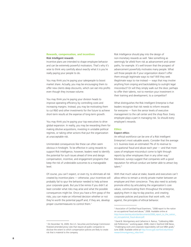## **Rewards, compensation, and incentives** Risk Intelligent rewards

Incentive plans are intended to shape employee behavior and can be extremely powerful motivators. That's why it's wise to think very carefully about exactly what it is you're really paying your people to do.

You may think you're paying your salespeople to boost market share. Actually, you may be encouraging them to offer new clients deep discounts, which can eat into profits even though they increase volume.

You may think you're paying your division heads to improve operating efficiency by controlling costs and increasing margins. Instead, you may be motivating them to cut R&D and other investments for the future to achieve short-term results at the expense of long-term growth.

You may think you're paying your top executives to drive global expansion. In reality, you may be rewarding them for making dilutive acquisitions, investing in unstable political regimes, or taking other actions that put the organization at unacceptable risk.

Unintended consequences like these can often seem obvious in hindsight. To be effective in using rewards to support Risk Intelligence, however, leaders need to identify the potential for such issues ahead of time and design compensation, incentive, and engagement programs that keep the risk of undesirable outcomes to a manageable level.

Of course, you can't expect, or even try, to eliminate all risk created by incentive plans — otherwise, your incentives will probably fail to spur the behavior needed to help achieve your corporate goals. But you'd be remiss if you didn't at least consider what risks may arise and what the possible consequences might be. Once you have a firm grasp of the risks, you can make an informed decision whether or not they're worth the potential payoff and, if they are, develop proper countermeasures to control them.<sup>1</sup>

Risk Intelligence should play into the design of non-monetary rewards as well. Take something as seemingly far afield from risk as advancement and career paths, for example. It's well known that the prospect of advancement powerfully motivates many people. What will those people do if your organization doesn't offer them enough legitimate ways to rise? Will they seek illegitimate ways to rise instead — ways that may involve anything from sniping and backstabbing to outright legal misconduct? Or will they simply walk out the door, perhaps to offer their talents, not to mention your investment in their training and development, to a competitor?

What distinguishes the Risk Intelligent Enterprise is that leaders recognize that risk needs to inform rewards for everyone — from the senior levels of executive management to the call center and the shop floor. Every employee plays a part in managing risk. So should every employee's rewards.

## **Ethics**

### Expect ethics

An ethical workforce can be one of a Risk Intelligent Enterprise's most valuable assets. Consider that the average U.S. business loses an estimated 7% of its revenue to occupational fraud and abuse each year — and that more cases of employee misconduct come to light through reports by other employees than in any other way.2 Moreover, surveys suggest that companies with a good reputation for ethical conduct are better able to attract key talent.<sup>3</sup>

With that much value at stake, boards and executives can't allow ethics to remain a strictly private matter between an employee and their conscience. They also need to actively promote ethics by articulating the organization's core values, communicating them throughout the enterprise, applying them in day-to-day practice, and creating corporate policies and practices that work with, not against, the principles of ethical behavior.

<sup>1</sup> On December 16, 2009, the U.S. Securities and Exchange Commission finalized amended proxy rules that require all public companies to disclose the extent to which compensation policies are likely to create risk that is material to the company.

<sup>2</sup> Association of Certified Fraud Examiners, "2008 report to the nation on occupational fraud and abuse," 2008. Available online at http://www.bentley.edu/cbe/documents/2008\_report\_to\_the\_nation\_ on\_occupational\_fraud-abuse.pdf.

<sup>3</sup> David B. Montgomery and Catherine A. Ramus, "Calibrating MBA Job Preferences," working paper, 2008, cited in Stanford GSB News, "Challenging work and corporate responsibility will lure MBA grads," June 2008. Available online at http://www.gsb.stanford.edu/news/ research/montgomery\_mba.html.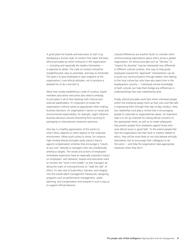A good place for boards and executives to start is by developing a formal code of conduct that states the basic ethical principles by which everyone in the organization  $-$  including and especially the leaders themselves  $$ is expected to abide. The code of conduct should be straightforward, easy to assimilate, and easy to remember. The goal is to give employees a clear snapshot of the organization's core ethical attitudes, not to produce a detailed list of do's and don'ts.

More than simply establishing a code of conduct, board members and senior executives also need to embody its principles in all of their dealings with internal and external stakeholders. It's important to invoke the organization's ethical values as appropriate when making business decisions. An organization's stance on social and environmental responsibility, for example, might influence business decisions around everything from sourcing to packaging to international investment practices.

Also key is a healthy appreciation of the extent to which ethics depend on other aspects of the corporate environment. When push comes to shove, for instance, high-minded ethical principles rarely stand a chance against compensation schemes that encourage a "results at any cost" attitude or managers who set unrealistically ambitious targets. The words and actions of employees' immediate supervisors have an especially important impact on employees' own behavior; boards and executives need to monitor the "tone in the middle" so that managers all along the chain of command know to "walk the talk" of ethics. It's also vital to build ethics, fairness, and integrity into the overall talent management framework, designing programs such as performance management, career planning, and compensation and rewards in such a way as to support ethical behavior.

Cultural differences are another factor to consider when communicating expectations about ethics across a global organization. An ethical principle such as "fairness" or "respect for diversity" may be interpreted very differently in different cultural contexts. One way to help guide employees toward the "approved" interpretation can be to push out communications through leaders who belong to the local culture but who have also spent time in the headquarters country — individuals whose knowledge of both cultures can help them bridge any differences in understandings that may inadvertently arise.

Finally, ethical principles work best when individual people within the enterprise adopt them as their own and feel safe in expressing them through their day-to-day conduct. Here, too, leadership must play a central role in encouraging people to subscribe to organizational values. An important step is to set up channels for raising ethical concerns to the appropriate levels, as well as to create safeguards that protect people from retaliation against those who raise ethical issues in good faith. To the extent people feel that the organization has their back in matters related to ethics, they will be more likely to not only behave ethically themselves, but to encourage their colleagues to do the same — and help the organization take appropriate measures when they don't.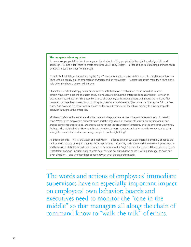#### **The complete talent equation**

To hear most people tell it, talent management is all about putting people with the right knowledge, skills, and abilities (KSAs) in the right roles to create enterprise value. They're right — as far as it goes. But a single-minded focus on KSAs, in our view, is far from enough.

To be truly Risk Intelligent about finding the "right" person for a job, an organization needs to match its emphasis on KSAs with an equally explicit emphasis on *character* and on *motivation* — factors that, much more than KSAs alone, help determine how a person will behave.

Character refers to the deeply held attitudes and beliefs that make it feel *natural* for an individual to act in certain ways. How does the character of key individuals affect what the enterprise does as a whole? How can an organization guard against risks posed by failures of character, both among leaders and among the rank and file? How can the organization seek to avoid hiring people of unsound character (the proverbial "bad apples") in the first place? And how can it cultivate and capitalize on the sound character of the ethical majority to drive appropriate behavior throughout the enterprise?

Motivation refers to the rewards and, when needed, the punishments that drive people to *want* to act in certain ways. What, given employees' personal values and the organization's rewards structures, are key individuals and groups being encouraged to do? Do these actions further the organization's interests, or is the enterprise unwittingly fueling undesirable behavior? How can the organization buttress monetary and other material compensation with intangible rewards that further encourage people to do the right thing?

All three elements — KSAs, character, and motivation — depend both on what an employee originally brings to the table and on the way an organization crafts its expectations, incentives, and culture to shape the employee's outlook and behavior. So take the broad view of what it means to have the "right" person for the job. After all, an employee's "total talent package" includes not just what he or she can do, but what he or she is willing and eager to do in any given situation … and whether that's consistent with what the enterprise needs.

The words and actions of employees' immediate supervisors have an especially important impact on employees' own behavior; boards and executives need to monitor the "tone in the middle" so that managers all along the chain of command know to "walk the talk" of ethics.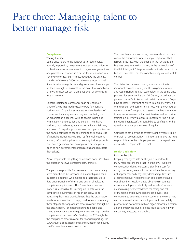# Part three: Managing talent to better manage risk

#### **Compliance**

#### Toeing the line

Compliance refers to the adherence to specific rules, typically imposed by government regulatory authorities or professional associations, meant to regulate organizational and professional conduct in a particular sphere of activity. For a variety of reasons — most obviously, the business scandals of the early 2000s and the more recent global financial crisis — regulators and governments have stepped up their oversight of business to the point that compliance is now a greater concern than it has been at any time in recent memory.

Concerns related to compliance span an enormous range of areas that touch virtually every function and business unit. Of particular interest to talent leaders, of course, are the many laws and regulations that govern an organization's dealings with its people: hiring and termination, compensation and benefits, health and wellness, labor relations, equal opportunity and fairness, and so on. Of equal importance to other top executives are the myriad compliance issues relating to their own areas of specialty, including areas, such as financial reporting and tax, information privacy and security, industry-specific laws and regulations, and dealings with outside parties (such as non-governmental organizations and regulators themselves).

Who's responsible for getting compliance done? We think this question has two complementary answers.

The person responsible for overseeing compliance in any given area should be someone in a leadership role (or a leadership designee) who maintains a thorough, up-todate understanding of the ins and outs of all relevant compliance requirements. This "compliance process owner" is responsible for keeping up to date with the compliance requirements in his or her bailiwick, for translating them into practical steps that the organization needs to take in order to comply, and for communicating those steps to the appropriate process owners throughout the organization. For matters relating to people and talent, the CHRO and/or the general counsel might be the compliance process owner(s). Similarly, the CFO might be the compliance process owner for financial reporting, the COO and/or a specialized compliance function for industryspecific compliance areas, and so on.

The compliance process owner, however, should not and cannot be responsible for executing compliance. That responsibility rests with the people in the functions and business units — the risk owners, in the terminology of the Risk Intelligent Enterprise — who actually carry out the business processes that the compliance regulations seek to control.

The distinction between oversight and execution is important because it can guide the assignment of roles and responsibilities to each stakeholder in the compliance process. For example, it's the CHRO's job, or perhaps the general counsel's, to know that certain questions ("Do you have children?") may not be asked in a job interview. It's the functions' and business units' job, with the CHRO's or general counsel's support, to disseminate that information to anyone who may conduct an interview and to provide training on interview practices as necessary. And it's the individual interviewer's responsibility to confine his or her questions to appropriate areas of inquiry.

Compliance can only be as effective as the weakest link in the chain of accountability. It is important to give the right responsibilities to the right people, and to be crystal clear about who is responsible for what.

#### **Health and safety**

#### Risk on the job

Keeping employees safe on the job is important for many more reasons than that "it's the law." Worker's compensation claims represent a significant cost for many companies, even in industries where the work may not appear especially physically demanding. Lawsuits alleging employer negligence can take another chunk out of earnings. Health-related absenteeism can eat away at employee productivity and morale. Companies are increasingly concerned with the safety and risks of managing and moving leaders, employees, and contractors to countries in every corner of the world. And real or perceived lapses in employee health and safety practices can not only tarnish an organization's reputation among employees, but also jeopardize its standing with customers, investors, and analysts.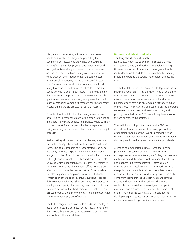Many companies' existing efforts around employee health and safety focus largely on protecting the company from losses: regulatory fines and censures, workers' compensation payouts, and expenses related to litigation. Less widely addressed, in our experience, are the risks that health and safety issues can pose to value creation, even though these risks can represent a substantial opportunity cost to a company's bottom line. For example, a construction company might add many thousands of dollars to project costs if it hires a contractor with a poor safety record — and thus a higher risk of workers' compensation claims — over an equally qualified contractor with a strong safety record. (In fact, many construction companies compare contractors' safety records during the bid process for just that reason.)

Consider, too, the difficulties that being viewed as an unsafe place to work can create for an organization's talent managers. How many people, for instance, would willingly choose to work for a company that had a reputation of being unwilling or unable to protect them from on-the-job hazards?

Besides taking all precautions required by law, how can leadership manage the workforce to mitigate health and safety risks at a reasonable cost? One strategy can be to use safety analytics, a specialized branch of workforce analytics, to identify employee characteristics that correlate with higher accident rates or other undesirable incidents. Knowing which populations are at greater risk, employers can then prioritize their intervention efforts to focus on efforts that can drive the greatest return. Safety analytics can also help identify employees who can effectively "watch each other's back" in group situations: If longer daily commutes raise the risk of accidents, for instance, an employer may specify that working teams must include at least one person with a short commute so that he or she, less worn out by the trip to work, can help employees with longer commutes stay out of trouble.

The Risk Intelligent Enterprise understands that employee health and safety is a business risk, not just a compliance risk. Treat it that way, and your people will thank you and so should the marketplace.

### **Business and talent continuity** Thinking about the unthinkable

No business leader we've ever met disputes the need for disaster recovery and business continuity planning. However, we know of more than one organization that inadvertently weakened its business continuity planning program by putting the wrong mix of talent against the effort.

The first mistake some leaders make is to tap someone in middle management — say, a division head or an aide to the COO — to lead the program. That's usually a grave misstep, because our experience shows that disaster planning efforts rarely go anywhere unless they're led at the very top. The most effective disaster planning programs we've seen have all been endorsed, monitored, and publicly promoted by the CEO, even if they leave most of the actual work to subordinates.

That said, it's worth pointing out that the CEO can't do it alone. Respected leaders from every part of the organization should put their weight behind the effort, making it clear that they expect their constituents to take disaster planning seriously and resource it appropriately.

A second common mistake is to assume that disaster planning is best carried out by a team of disaster management experts — after all, aren't they the ones who really understand the risk? — or by a team of functional and business-unit representatives — after all, aren't they the ones who really understand the business? Both viewpoints are correct, but neither is complete. In our experience, the most effective disaster plans consistently come from teams that include both risk management experts and people from the business. The former contribute their specialized knowledge about specific risk events and responses; the latter apply their in-depth understanding of the business and its operations to develop mitigation strategies and response plans that are appropriate to each organization's unique needs.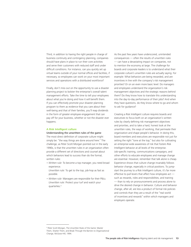Third, in addition to having the right people in charge of business continuity and contingency planning, companies should have plans in place to run their core activities and serve their customers with reduced staff and under difficult conditions. For instance, can you quickly set up virtual teams outside of your normal offices and facilities, if necessary, so employees can work on your most important services and operations with a distributed workforce?

Finally, don't miss out on the opportunity to use a disaster planning project to bolster the enterprise's overall talent management efforts. Take the time to tell your employees about what you're doing and how it will benefit them. If you can effectively promote your disaster planning program to them as evidence that you care about their well-being and that of their families, you'll reap dividends in the form of greater employee engagement that can pay off for your business, whether or not the disaster ever happens.

### **A Risk Intelligent culture**

#### Understanding the unwritten rules of the game

The most direct definition of corporate culture might simply be: "the way things are done around here." The challenge, as Peter Scott-Morgan pointed out in the early 1990s, is that the unwritten rules in an organization often provide a different set of directions and counsel about which behaviors lead to success than do the formal, written rules:

- *• Written rule:* To become a top manager, you need broad experience.
- *Unwritten rule:* To get to the top, job-hop as fast as possible.
- *• Written rule:* Managers are responsible for their P&Ls. *Unwritten rule:* Protect your turf and watch your quarterlies.4

As the past few years have underscored, unintended consequences — often the results of unwritten rules — can have a devastating impact on companies, not to mention the economy at large. The challenge for boards and corporate leaders is to understand what their corporate culture's unwritten rules are actually saying. For example: What behaviors are being rewarded, and are incentives in line with the company's risk management priorities? Or on an even more basic level: Do managers and employees understand the organization's risk management objectives and the strategic reasons behind them? Do they know how to translate this understanding into the day-to-day performance of their jobs? And when they have questions, do they know where to go and whom to ask for guidance?

Creating a Risk Intelligent culture requires boards and executives to focus both on an organization's written rules by clearly defining risk management objectives and priorities, and to take a hard, honest look at the unwritten rules, the ways of working, that permeate their organization and shape people's behavior. In doing this, board members and executives are responsible not just for setting the right "tone at the top," but also for cultivating an enterprise-wide awareness of risk that fosters Risk Intelligent behavior at all levels of the enterprise. Job-specific training, communications campaigns, and other efforts to educate employees and manage change are essential. However, remember that talk alone is cheap. Experience shows that culture change invariably follows behavior change, especially in critical positions. To jumpstart the journey to a Risk Intelligent culture, it's far more effective to pull levers that affect how employees act such as rewards, roles and responsibilities, and training — than to rely on pronouncements and process alone to drive the desired change in behavior. Culture and behavior change, after all, are less a product of formal risk policies and controls than they are a result of the "real world of incentives and rewards" within which managers and employers operate.

<sup>4</sup> Peter Scott-Morgan, The Unwritten Rules of the Game: Master

Them, Shatter Them, and Break Through the Barriers to Organizational Change, McGraw-Hill, 1994.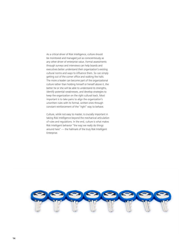As a critical driver of Risk Intelligence, culture should be monitored and managed just as conscientiously as any other driver of enterprise value. Formal assessments through surveys and interviews can help boards and executives better understand their organization's existing cultural norms and ways to influence them. So can simply getting out of the corner office and walking the halls. The more a leader can become part of the organizational culture rather than holding himself or herself above it, the better he or she will be able to understand its strengths, identify potential weaknesses, and develop strategies to keep the organization on the right cultural track. Most important is to take pains to align the organization's unwritten rules with its formal, written ones through constant reinforcement of the "right" way to behave.

Culture, while not easy to master, is crucially important in taking Risk Intelligence beyond the mechanical articulation of rules and regulations. In the end, culture is what makes Risk Intelligent behavior "the way we really do things around here" — the hallmark of the truly Risk Intelligent Enterprise.

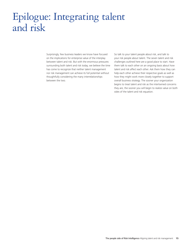# Epilogue: Integrating talent and risk

Surprisingly, few business leaders we know have focused on the implications for enterprise value of the interplay between talent and risk. But with the enormous pressures surrounding both talent and risk today, we believe the time has come to recognize that neither talent management nor risk management can achieve its full potential without thoughtfully considering the many interrelationships between the two.

So talk to your talent people about risk, and talk to your risk people about talent. The seven talent and risk challenges outlined here are a good place to start. Have them talk to each other on an ongoing basis about how talent and risk affect each other. Ask them how they can help each other achieve their respective goals as well as how they might work more closely together to support overall business strategy. The sooner your organization begins to treat talent and risk as the intertwined concerns they are, the sooner you will begin to realize value on both sides of the talent and risk equation.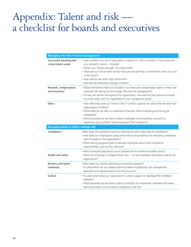# Appendix: Talent and risk a checklist for boards and executives

| <b>Managing the risks of talent management</b>   |                                                                                                                                                                                                                                                                                                                                                                                   |
|--------------------------------------------------|-----------------------------------------------------------------------------------------------------------------------------------------------------------------------------------------------------------------------------------------------------------------------------------------------------------------------------------------------------------------------------------|
| Succession planning and<br>critical talent needs | • How confident are we of being able to replace our CEO or another C-Suite executive<br>at a moment's notice - literally?<br>• What's our "bench strength" for critical skills?<br>• What are our critical talent needs? How are we planning to meet them, both now and<br>in the future?<br>• How well do we retain high performers?<br>• How do we proactively manage turnover? |
| Rewards, compensation,<br>and incentives         | • What mechanisms have we included in our executive compensation plans to help curb<br>excessive risk-taking and encourage effective risk management?<br>• For key risk owners throughout the organization, how well do their personal rewards<br>structures align with the organization's risk management goals?                                                                 |
| <b>Ethics</b>                                    | • How effectively does our formal code of conduct capture the values that we want our<br>organization to follow?<br>• What steps do we take to understand character when evaluating and hiring job<br>candidates?<br>• What processes do we have to allow employees to bring ethical concerns to<br>leadership and to protect those employees from retaliation?                   |
| <b>Managing talent to better manage risk</b>     |                                                                                                                                                                                                                                                                                                                                                                                   |
| Compliance                                       | . Who is/are the compliance process owner(s) for each major area of compliance?<br>• How does our organization assign and enforce accountability for executing compliance<br>tasks throughout the organization?<br>• What training programs exist to educate employees about their compliance<br>responsibilities, and are they effective?                                        |
| Health and safety                                | • What employee populations are at greatest risk for health and safety issues?<br>• What are we doing to mitigate those risks - to the employees themselves and to the<br>organization?                                                                                                                                                                                           |
| <b>Business and talent</b><br>continuity         | • Who leads our disaster planning and recovery program?<br>· To what extent do our disaster planning teams include both risk management<br>specialists and representatives from the business?                                                                                                                                                                                     |
| Culture                                          | · To what extent does our organization's culture support or sabotage Risk Intelligent<br>behavior?<br>. What processes do we have in place to monitor our employees' attitudes and values<br>about key issues, such as ethics, compliance, and risk?                                                                                                                              |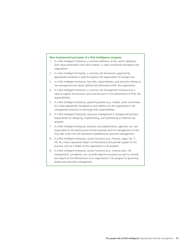#### **Nine fundamental principles of a Risk Intelligence program**

- 1. In a Risk Intelligent Enterprise, a common definition of risk, which addresses both value preservation and value creation, is used consistently throughout the organization.
- 2. In a Risk Intelligent Enterprise, a common risk framework supported by appropriate standards is used throughout the organization to manage risks.
- 3. In a Risk Intelligent Enterprise, key roles, responsibilities, and authority relating to risk management are clearly defined and delineated within the organization.
- 4. In a Risk Intelligent Enterprise, a common risk management infrastructure is used to support the business units and functions in the performance of their risk responsibilities.
- 5. In a Risk Intelligent Enterprise, governing bodies (e.g., boards, audit committees, etc.) have appropriate transparency and visibility into the organization's risk management practices to discharge their responsibilities.
- 6. In a Risk Intelligent Enterprise, executive management is charged with primary responsibility for designing, implementing, and maintaining an effective risk program.
- 7. In a Risk Intelligent Enterprise, business units (departments, agencies, etc.) are responsible for the performance of their business and the management of risks they take within the risk framework established by executive management.
- 8. In a Risk Intelligent Enterprise, certain functions (e.g., Finance, Legal, Tax, IT, HR, etc.) have a pervasive impact on the business and provide support to the business units as it relates to the organization's risk program.
- 9. In a Risk Intelligent Enterprise, certain functions (e.g., internal audit, risk management, compliance, etc.) provide objective assurance as well as monitor and report on the effectiveness of an organization's risk program to governing bodies and executive management.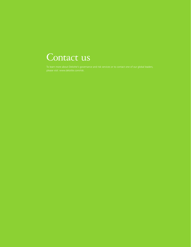# Contact us